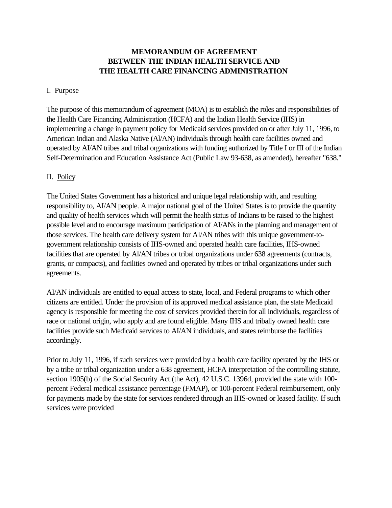# **MEMORANDUM OF AGREEMENT BETWEEN THE INDIAN HEALTH SERVICE AND THE HEALTH CARE FINANCING ADMINISTRATION**

#### I. Purpose

The purpose of this memorandum of agreement (MOA) is to establish the roles and responsibilities of the Health Care Financing Administration (HCFA) and the Indian Health Service (IHS) in implementing a change in payment policy for Medicaid services provided on or after July 11, 1996, to American Indian and Alaska Native (Al/AN) individuals through health care facilities owned and operated by AI/AN tribes and tribal organizations with funding authorized by Title I or III of the Indian Self-Determination and Education Assistance Act (Public Law 93-638, as amended), hereafter "638."

### II. Policy

The United States Government has a historical and unique legal relationship with, and resulting responsibility to, AI/AN people. A major national goal of the United States is to provide the quantity and quality of health services which will permit the health status of Indians to be raised to the highest possible level and to encourage maximum participation of AI/ANs in the planning and management of those services. The health care delivery system for AI/AN tribes with this unique government-togovernment relationship consists of IHS-owned and operated health care facilities, IHS-owned facilities that are operated by Al/AN tribes or tribal organizations under 638 agreements (contracts, grants, or compacts), and facilities owned and operated by tribes or tribal organizations under such agreements.

AI/AN individuals are entitled to equal access to state, local, and Federal programs to which other citizens are entitled. Under the provision of its approved medical assistance plan, the state Medicaid agency is responsible for meeting the cost of services provided therein for all individuals, regardless of race or national origin, who apply and are found eligible. Many IHS and tribally owned health care facilities provide such Medicaid services to AI/AN individuals, and states reimburse the facilities accordingly.

Prior to July 11, 1996, if such services were provided by a health care facility operated by the IHS or by a tribe or tribal organization under a 638 agreement, HCFA interpretation of the controlling statute, section 1905(b) of the Social Security Act (the Act), 42 U.S.C. 1396d, provided the state with 100percent Federal medical assistance percentage (FMAP), or 100-percent Federal reimbursement, only for payments made by the state for services rendered through an IHS-owned or leased facility. If such services were provided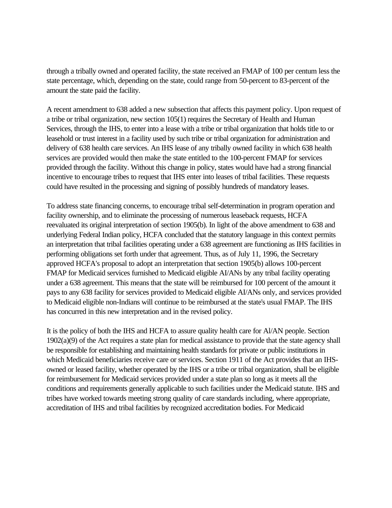through a tribally owned and operated facility, the state received an FMAP of 100 per centum less the state percentage, which, depending on the state, could range from 50-percent to 83-percent of the amount the state paid the facility.

A recent amendment to 638 added a new subsection that affects this payment policy. Upon request of a tribe or tribal organization, new section 105(1) requires the Secretary of Health and Human Services, through the IHS, to enter into a lease with a tribe or tribal organization that holds title to or leasehold or trust interest in a facility used by such tribe or tribal organization for administration and delivery of 638 health care services. An IHS lease of any tribally owned facility in which 638 health services are provided would then make the state entitled to the 100-percent FMAP for services provided through the facility. Without this change in policy, states would have had a strong financial incentive to encourage tribes to request that IHS enter into leases of tribal facilities. These requests could have resulted in the processing and signing of possibly hundreds of mandatory leases.

To address state financing concerns, to encourage tribal self-determination in program operation and facility ownership, and to eliminate the processing of numerous leaseback requests, HCFA reevaluated its original interpretation of section 1905(b). In light of the above amendment to 638 and underlying Federal Indian policy, HCFA concluded that the statutory language in this context permits an interpretation that tribal facilities operating under a 638 agreement are functioning as IHS facilities in performing obligations set forth under that agreement. Thus, as of July 11, 1996, the Secretary approved HCFA's proposal to adopt an interpretation that section 1905(b) allows 100-percent FMAP for Medicaid services furnished to Medicaid eligible AI/ANs by any tribal facility operating under a 638 agreement. This means that the state will be reimbursed for 100 percent of the amount it pays to any 638 facility for services provided to Medicaid eligible AI/ANs only, and services provided to Medicaid eligible non-Indians will continue to be reimbursed at the state's usual FMAP. The IHS has concurred in this new interpretation and in the revised policy.

It is the policy of both the IHS and HCFA to assure quality health care for Al/AN people. Section 1902(a)(9) of the Act requires a state plan for medical assistance to provide that the state agency shall be responsible for establishing and maintaining health standards for private or public institutions in which Medicaid beneficiaries receive care or services. Section 1911 of the Act provides that an IHSowned or leased facility, whether operated by the IHS or a tribe or tribal organization, shall be eligible for reimbursement for Medicaid services provided under a state plan so long as it meets all the conditions and requirements generally applicable to such facilities under the Medicaid statute. IHS and tribes have worked towards meeting strong quality of care standards including, where appropriate, accreditation of IHS and tribal facilities by recognized accreditation bodies. For Medicaid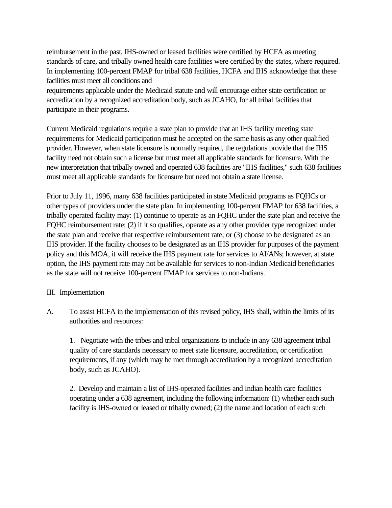reimbursement in the past, IHS-owned or leased facilities were certified by HCFA as meeting standards of care, and tribally owned health care facilities were certified by the states, where required. In implementing 100-percent FMAP for tribal 638 facilities, HCFA and IHS acknowledge that these facilities must meet all conditions and

requirements applicable under the Medicaid statute and will encourage either state certification or accreditation by a recognized accreditation body, such as JCAHO, for all tribal facilities that participate in their programs.

Current Medicaid regulations require a state plan to provide that an IHS facility meeting state requirements for Medicaid participation must be accepted on the same basis as any other qualified provider. However, when state licensure is normally required, the regulations provide that the IHS facility need not obtain such a license but must meet all applicable standards for licensure. With the new interpretation that tribally owned and operated 638 facilities are "IHS facilities," such 638 facilities must meet all applicable standards for licensure but need not obtain a state license.

Prior to July 11, 1996, many 638 facilities participated in state Medicaid programs as FQHCs or other types of providers under the state plan. In implementing 100-percent FMAP for 638 facilities, a tribally operated facility may: (1) continue to operate as an FQHC under the state plan and receive the FQHC reimbursement rate; (2) if it so qualifies, operate as any other provider type recognized under the state plan and receive that respective reimbursement rate; or (3) choose to be designated as an IHS provider. If the facility chooses to be designated as an IHS provider for purposes of the payment policy and this MOA, it will receive the IHS payment rate for services to AI/ANs; however, at state option, the IHS payment rate may not be available for services to non-Indian Medicaid beneficiaries as the state will not receive 100-percent FMAP for services to non-Indians.

#### III. Implementation

A. To assist HCFA in the implementation of this revised policy, IHS shall, within the limits of its authorities and resources:

1. Negotiate with the tribes and tribal organizations to include in any 638 agreement tribal quality of care standards necessary to meet state licensure, accreditation, or certification requirements, if any (which may be met through accreditation by a recognized accreditation body, such as JCAHO).

2. Develop and maintain a list of IHS-operated facilities and Indian health care facilities operating under a 638 agreement, including the following information: (1) whether each such facility is IHS-owned or leased or tribally owned; (2) the name and location of each such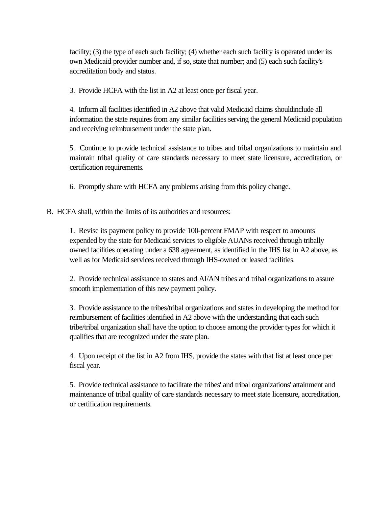facility; (3) the type of each such facility; (4) whether each such facility is operated under its own Medicaid provider number and, if so, state that number; and (5) each such facility's accreditation body and status.

3. Provide HCFA with the list in A2 at least once per fiscal year.

4. Inform all facilities identified in A2 above that valid Medicaid claims shouldinclude all information the state requires from any similar facilities serving the general Medicaid population and receiving reimbursement under the state plan.

5. Continue to provide technical assistance to tribes and tribal organizations to maintain and maintain tribal quality of care standards necessary to meet state licensure, accreditation, or certification requirements.

6. Promptly share with HCFA any problems arising from this policy change.

B. HCFA shall, within the limits of its authorities and resources:

1. Revise its payment policy to provide 100-percent FMAP with respect to amounts expended by the state for Medicaid services to eligible AUANs received through tribally owned facilities operating under a 638 agreement, as identified in the IHS list in A2 above, as well as for Medicaid services received through IHS-owned or leased facilities.

2. Provide technical assistance to states and AI/AN tribes and tribal organizations to assure smooth implementation of this new payment policy.

3. Provide assistance to the tribes/tribal organizations and states in developing the method for reimbursement of facilities identified in A2 above with the understanding that each such tribe/tribal organization shall have the option to choose among the provider types for which it qualifies that are recognized under the state plan.

4. Upon receipt of the list in A2 from IHS, provide the states with that list at least once per fiscal year.

5. Provide technical assistance to facilitate the tribes' and tribal organizations' attainment and maintenance of tribal quality of care standards necessary to meet state licensure, accreditation, or certification requirements.